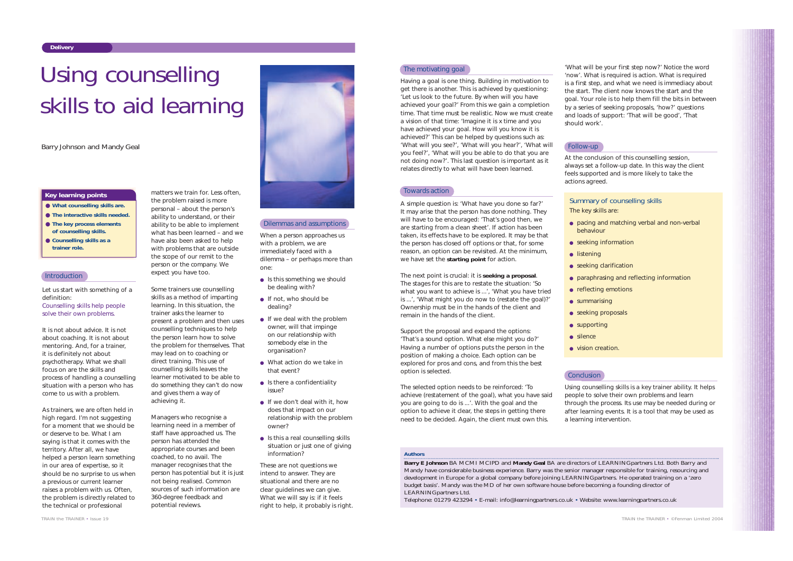Let us start with something of a definition:

*Counselling skills help people solve their own problems*.

It is not about advice. It is not about coaching. It is not about mentoring. And, for a trainer, it is definitely not about psychotherapy. What we shall focus on are the skills and process of handling a counselling situation with a person who has come to us with a problem.

As trainers, we are often held in high regard. I'm not suggesting for a moment that we should be or deserve to be. What I am saying is that it comes with the territory. After all, we have helped a person learn something in our area of expertise, so it should be no surprise to us when a previous or current learner raises a problem with us. Often, the problem is directly related to the technical or professional

matters we train for. Less often,

the problem raised is more personal – about the person's ability to understand, or their ability to be able to implement what has been learned – and we have also been asked to help with problems that are outside the scope of our remit to the person or the company. We expect you have too.

- Is this something we should be dealing with?
- If not, who should be dealing?
- $\bullet$  If we deal with the problem owner, will that impinge on our relationship with somebody else in the organisation?
- What action do we take in that event?
- Is there a confidentiality issue?
- If we don't deal with it, how does that impact on our relationship with the problem owner?
- $\bullet$  Is this a real counselling skills situation or just one of giving information?

Some trainers use counselling skills as a method of imparting learning. In this situation, the trainer asks the learner to present a problem and then uses counselling techniques to help the person learn how to solve the problem for themselves. That may lead on to coaching or direct training. This use of counselling skills leaves the learner motivated to be able to do something they can't do now and gives them a way of achieving it.

Managers who recognise a learning need in a member of staff have approached us. The person has attended the appropriate courses and been coached, to no avail. The manager recognises that the person has potential but it is just not being realised. Common sources of such information are 360-degree feedback and potential reviews.



When a person approaches us with a problem, we are immediately faced with a dilemma – or perhaps more than one:

These are not questions we intend to answer. They are situational and there are no clear guidelines we can give. What we will say is: if it feels right to help, it probably is right.

#### The motivating goal

#### **Delivery**

- **What counselling skills are.**
- **The interactive skills needed.**
- **The key process elements of counselling skills.**
- **Counselling skills as a trainer role.**

#### **Introduction**

#### **Key learning points**

#### *Authors*

**Barry E Johnson** BA MCMI MCIPD and **Mandy Geal** BA are directors of LEARNING*partners* Ltd. Both Barry and Mandy have considerable business experience. Barry was the senior manager responsible for training, resourcing and development in Europe for a global company before joining LEARNING*partners*. He operated training on a 'zero budget basis'. Mandy was the MD of her own software house before becoming a founding director of LEARNING*partners* Ltd.

- seeking information
- listening
- seeking clarification
- 
- 
- summarising
- 
- supporting
- silence
- vision creation.

## **Conclusion**

Telephone: 01279 423294 • E-mail: info@learningpartners.co.uk • Website: www.learningpartners.co.uk

# Using counselling skills to aid learning



Having a goal is one thing. Building in motivation to get there is another. This is achieved by questioning: 'Let us look to the future. By when will you have achieved your goal?' From this we gain a completion time. That time must be realistic. Now we must create a vision of that time: 'Imagine it is x time and you have achieved your goal. How will you know it is achieved?' This can be helped by questions such as: 'What will you see?', 'What will you hear?', 'What will you feel?', 'What will you be able to do that you are not doing now?'. This last question is important as it relates directly to what will have been learned.

#### Towards action

A simple question is: 'What have you done so far?' It may arise that the person has done nothing. They will have to be encouraged: 'That's good then, we are starting from a clean sheet'. If action has been taken, its effects have to be explored. It may be that the person has closed off options or that, for some reason, an option can be revisited. At the minimum, we have set the **starting point** for action.

The next point is crucial: it is **seeking a proposal**. The stages for this are to restate the situation: 'So what you want to achieve is ...', 'What you have tried is ...', 'What might you do now to (restate the goal)?' Ownership must be in the hands of the client and remain in the hands of the client.

Support the proposal and expand the options: 'That's a sound option. What else might you do?' Having a number of options puts the person in the position of making a choice. Each option can be explored for pros and cons, and from this the best option is selected.

The selected option needs to be reinforced: 'To achieve (restatement of the goal), what you have said you are going to do is ...'. With the goal and the option to achieve it clear, the steps in getting there need to be decided. Again, the client must own this.

'What will be your first step now?' Notice the word 'now'. What is required is action. What is required is a first step, and what we need is immediacy about the start. The client now knows the start and the goal. Your role is to help them fill the bits in between by a series of seeking proposals, 'how?' questions and loads of support: 'That will be good', 'That

should work'.

At the conclusion of this counselling session, always set a follow-up date. In this way the client feels supported and is more likely to take the

actions agreed.

Using counselling skills is a key trainer ability. It helps people to solve their own problems and learn through the process. Its use may be needed during or after learning events. It is a tool that may be used as a learning intervention.

#### Dilemmas and assumptions

#### Follow-up

### Summary of counselling skills

- 
- pacing and matching verbal and non-verbal behaviour
	-
- paraphrasing and reflecting information
- reflecting emotions
	-
- seeking proposals
	-

## The key skills are: